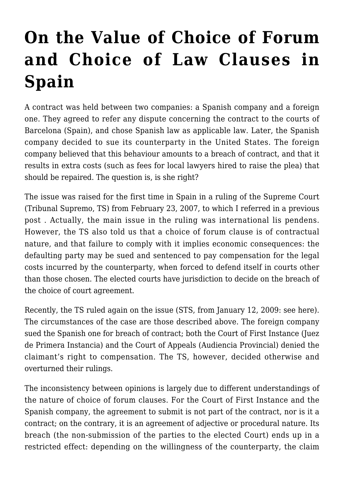## **[On the Value of Choice of Forum](https://conflictoflaws.net/2009/on-the-value-of-choice-of-forum-and-choice-of-law-clauses-in-spain/) [and Choice of Law Clauses in](https://conflictoflaws.net/2009/on-the-value-of-choice-of-forum-and-choice-of-law-clauses-in-spain/) [Spain](https://conflictoflaws.net/2009/on-the-value-of-choice-of-forum-and-choice-of-law-clauses-in-spain/)**

A contract was held between two companies: a Spanish company and a foreign one. They agreed to refer any dispute concerning the contract to the courts of Barcelona (Spain), and chose Spanish law as applicable law. Later, the Spanish company decided to sue its counterparty in the United States. The foreign company believed that this behaviour amounts to a breach of contract, and that it results in extra costs (such as fees for local lawyers hired to raise the plea) that should be repaired. The question is, is she right?

The issue was raised for the first time in Spain in a ruling of the Supreme Court (Tribunal Supremo, TS) from February 23, 2007, to which I referred in a [previous](https://conflictoflaws.de/2008/lis-pendens-in-spain-autonomous-pil/) [post .](https://conflictoflaws.de/2008/lis-pendens-in-spain-autonomous-pil/) Actually, the main issue in the ruling was international lis pendens. However, the TS also told us that a choice of forum clause is of contractual nature, and that failure to comply with it implies economic consequences: the defaulting party may be sued and sentenced to pay compensation for the legal costs incurred by the counterparty, when forced to defend itself in courts other than those chosen. The elected courts have jurisdiction to decide on the breach of the choice of court agreement.

Recently, the TS ruled again on the issue (STS, from January 12, 2009: [see here](http://www.poderjudicial.es/jurisprudencia/pdf/28079110012009100055.pdf?formato=pdf&K2DocKey=E:/SENTENCIAS/20090226/28079110012009100055.xml@sent_TS&query=%28%3CYESNO%3E%28fecha_resolucion+%3E%3D+20090112%29%29%3CAND%3E%28%3CYESNO%3E%28fecha_resolucion+%3C%3D+20090112%29%29)). The circumstances of the case are those described above. The foreign company sued the Spanish one for breach of contract; both the Court of First Instance (Juez de Primera Instancia) and the Court of Appeals (Audiencia Provincial) denied the claimant's right to compensation. The TS, however, decided otherwise and overturned their rulings.

The inconsistency between opinions is largely due to different understandings of the nature of choice of forum clauses. For the Court of First Instance and the Spanish company, the agreement to submit is not part of the contract, nor is it a contract; on the contrary, it is an agreement of adjective or procedural nature. Its breach (the non-submission of the parties to the elected Court) ends up in a restricted effect: depending on the willingness of the counterparty, the claim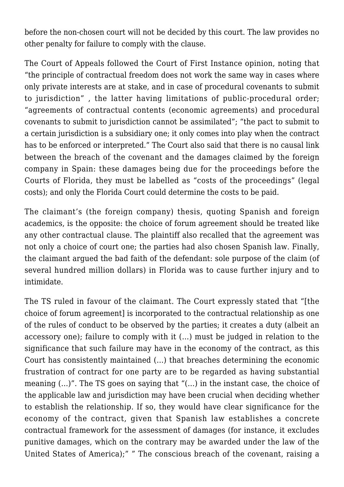before the non-chosen court will not be decided by this court. The law provides no other penalty for failure to comply with the clause.

The Court of Appeals followed the Court of First Instance opinion, noting that "the principle of contractual freedom does not work the same way in cases where only private interests are at stake, and in case of procedural covenants to submit to jurisdiction" , the latter having limitations of public-procedural order; "agreements of contractual contents (economic agreements) and procedural covenants to submit to jurisdiction cannot be assimilated"; "the pact to submit to a certain jurisdiction is a subsidiary one; it only comes into play when the contract has to be enforced or interpreted." The Court also said that there is no causal link between the breach of the covenant and the damages claimed by the foreign company in Spain: these damages being due for the proceedings before the Courts of Florida, they must be labelled as "costs of the proceedings" (legal costs); and only the Florida Court could determine the costs to be paid.

The claimant's (the foreign company) thesis, quoting Spanish and foreign academics, is the opposite: the choice of forum agreement should be treated like any other contractual clause. The plaintiff also recalled that the agreement was not only a choice of court one; the parties had also chosen Spanish law. Finally, the claimant argued the bad faith of the defendant: sole purpose of the claim (of several hundred million dollars) in Florida was to cause further injury and to intimidate.

The TS ruled in favour of the claimant. The Court expressly stated that "[the choice of forum agreement] is incorporated to the contractual relationship as one of the rules of conduct to be observed by the parties; it creates a duty (albeit an accessory one); failure to comply with it (…) must be judged in relation to the significance that such failure may have in the economy of the contract, as this Court has consistently maintained (…) that breaches determining the economic frustration of contract for one party are to be regarded as having substantial meaning (…)". The TS goes on saying that "(…) in the instant case, the choice of the applicable law and jurisdiction may have been crucial when deciding whether to establish the relationship. If so, they would have clear significance for the economy of the contract, given that Spanish law establishes a concrete contractual framework for the assessment of damages (for instance, it excludes punitive damages, which on the contrary may be awarded under the law of the United States of America);" " The conscious breach of the covenant, raising a